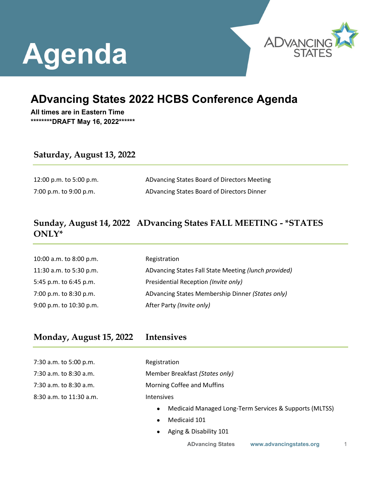# **Agenda**



# **ADvancing States 2022 HCBS Conference Agenda**

**All times are in Eastern Time \*\*\*\*\*\*\*\*DRAFT May 16, 2022\*\*\*\*\*\***

### **Saturday, August 13, 2022**

12:00 p.m. to 5:00 p.m. ADvancing States Board of Directors Meeting 7:00 p.m. to 9:00 p.m. ADvancing States Board of Directors Dinner

# **Sunday, August 14, 2022 ADvancing States FALL MEETING - \*STATES ONLY\***

| 10:00 a.m. to 8:00 p.m. | Registration                                         |
|-------------------------|------------------------------------------------------|
| 11:30 a.m. to 5:30 p.m. | ADvancing States Fall State Meeting (lunch provided) |
| 5:45 p.m. to 6:45 p.m.  | Presidential Reception (Invite only)                 |
| 7:00 p.m. to 8:30 p.m.  | ADvancing States Membership Dinner (States only)     |
| 9:00 p.m. to 10:30 p.m. | After Party (Invite only)                            |

### **Monday, August 15, 2022 Intensives**

7:30 a.m. to 5:00 p.m. Registration 8:30 a.m. to 11:30 a.m. Intensives

7:30 a.m. to 8:30 a.m. Member Breakfast *(States only)*

7:30 a.m. to 8:30 a.m. Morning Coffee and Muffins

- Medicaid Managed Long-Term Services & Supports (MLTSS)
- Medicaid 101
- Aging & Disability 101

**ADvancing States [www.advancingstates.org](http://www.advancingstates.org/)** 1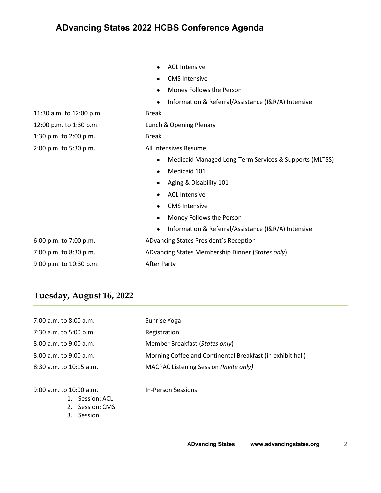• CMS Intensive • Money Follows the Person • Information & Referral/Assistance (I&R/A) Intensive 11:30 a.m. to 12:00 p.m. Break 12:00 p.m. to 1:30 p.m. Lunch & Opening Plenary 1:30 p.m. to 2:00 p.m. Break 2:00 p.m. to 5:30 p.m. All Intensives Resume • Medicaid Managed Long-Term Services & Supports (MLTSS) • Medicaid 101 • Aging & Disability 101 • ACL Intensive • CMS Intensive • Money Follows the Person

• ACL Intensive

• Information & Referral/Assistance (I&R/A) Intensive 6:00 p.m. to 7:00 p.m. ADvancing States President's Reception 7:00 p.m. to 8:30 p.m. ADvancing States Membership Dinner (*States only*)

9:00 p.m. to 10:30 p.m. After Party

### **Tuesday, August 16, 2022**

| 7:00 a.m. to 8:00 a.m.      | Sunrise Yoga                                               |
|-----------------------------|------------------------------------------------------------|
| 7:30 a.m. to 5:00 p.m.      | Registration                                               |
| $8:00$ a.m. to $9:00$ a.m.  | Member Breakfast (States only)                             |
| 8:00 a.m. to 9:00 a.m.      | Morning Coffee and Continental Breakfast (in exhibit hall) |
| $8:30$ a.m. to $10:15$ a.m. | MACPAC Listening Session (Invite only)                     |
|                             |                                                            |

9:00 a.m. to 10:00 a.m. In-Person Sessions

- 1. Session: ACL
- 2. Session: CMS
- 3. Session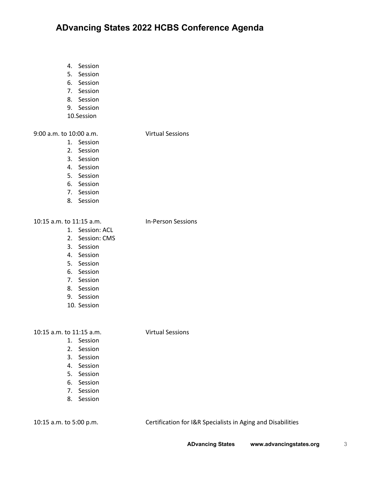- 4. Session
- 5. Session
- 6. Session
- 7. Session
- 8. Session
- 9. Session
- 10.Session

### 9:00 a.m. to 10:00 a.m. Virtual Sessions

### 1. Session

- 
- 2. Session
- 3. Session
- 4. Session
- 5. Session
- 6. Session
- 7. Session
- 8. Session

#### 10:15 a.m. to 11:15 a.m. In-Person Sessions

- 1. Session: ACL
- 2. Session: CMS
- 3. Session
- 4. Session
- 5. Session
- 6. Session
- 7. Session
- 8. Session
- 9. Session
- 10. Session

#### 10:15 a.m. to 11:15 a.m. Virtual Sessions

- 1. Session
- 2. Session
- 3. Session
- 4. Session
- 5. Session
- 6. Session
- 7. Session
- 8. Session

10:15 a.m. to 5:00 p.m. Certification for I&R Specialists in Aging and Disabilities

**ADvancing States [www.advancingstates.org](http://www.advancingstates.org/)** 3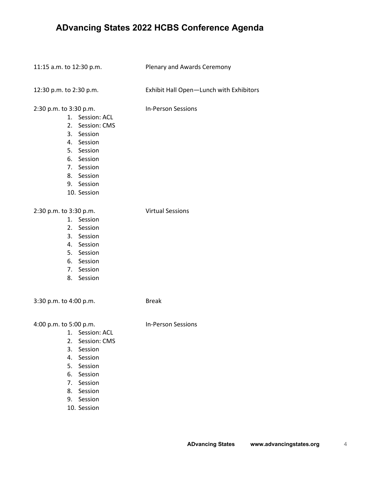11:15 a.m. to 12:30 p.m. Plenary and Awards Ceremony

12:30 p.m. to 2:30 p.m. Exhibit Hall Open—Lunch with Exhibitors

2:30 p.m. to 3:30 p.m. In-Person Sessions

- 1. Session: ACL
- 2. Session: CMS
- 3. Session
- 4. Session
- 5. Session
- 6. Session
- 7. Session
- 8. Session
- 9. Session
- 10. Session

#### 2:30 p.m. to 3:30 p.m. Virtual Sessions

- 1. Session 2. Session
- 3. Session
- 4. Session
- 
- 5. Session
- 6. Session
- 7. Session
- 8. Session

3:30 p.m. to 4:00 p.m. Break

4:00 p.m. to 5:00 p.m. In-Person Sessions

- 1. Session: ACL
- 2. Session: CMS
- 3. Session
- 4. Session
- 5. Session
- 6. Session
- 7. Session
- 8. Session
- 
- 9. Session
- 10. Session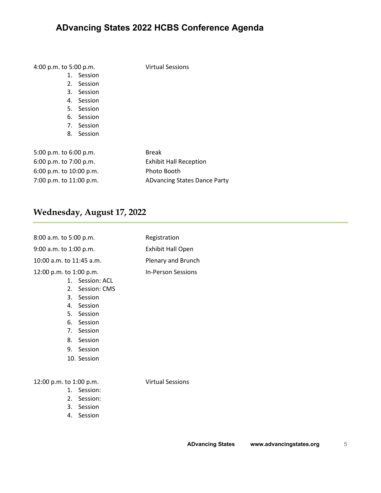4:00 p.m. to 5:00 p.m. Virtual Sessions

- 1. Session
- 2. Session
- 3. Session
- 4. Session
- 5. Session
- 6. Session
- 7. Session
- 8. Session

| 5:00 p.m. to 6:00 p.m.  | <b>Break</b>                  |
|-------------------------|-------------------------------|
| 6:00 p.m. to 7:00 p.m.  | <b>Exhibit Hall Reception</b> |
| 6:00 p.m. to 10:00 p.m. | Photo Booth                   |
| 7:00 p.m. to 11:00 p.m. | ADvancing States Dance Party  |

# **Wednesday, August 17, 2022**

| 8:00 a.m. to 5:00 p.m.   |                                                                                                                                                     | Registration              |
|--------------------------|-----------------------------------------------------------------------------------------------------------------------------------------------------|---------------------------|
| 9:00 a.m. to 1:00 p.m.   |                                                                                                                                                     | <b>Exhibit Hall Open</b>  |
| 10:00 a.m. to 11:45 a.m. |                                                                                                                                                     | Plenary and Brunch        |
| 12:00 p.m. to 1:00 p.m.  | 1. Session: ACL<br>2. Session: CMS<br>3. Session<br>4. Session<br>5. Session<br>6. Session<br>7. Session<br>8. Session<br>9. Session<br>10. Session | <b>In-Person Sessions</b> |
| 12:00 p.m. to 1:00 p.m.  |                                                                                                                                                     | <b>Virtual Sessions</b>   |
|                          | 1. Session:                                                                                                                                         |                           |
|                          | 2. Session:                                                                                                                                         |                           |
| 3.                       | Session                                                                                                                                             |                           |

4. Session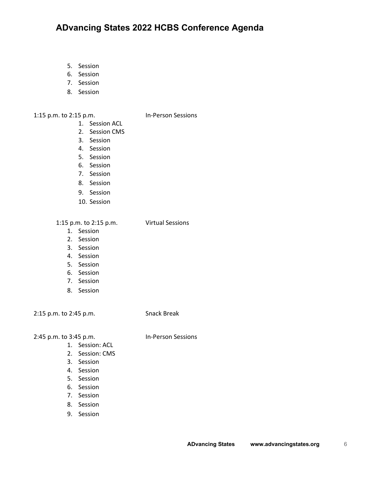- 5. Session
- 6. Session
- 7. Session
- 8. Session

1:15 p.m. to 2:15 p.m. In-Person Sessions

- 1. Session ACL
- 2. Session CMS
- 3. Session
- 4. Session
- 5. Session
- 6. Session
- 7. Session
- 8. Session
- 9. Session
- 10. Session

1:15 p.m. to 2:15 p.m. Virtual Sessions

1. Session

- 2. Session
- 3. Session
- 4. Session
- 5. Session
- 6. Session
- 
- 7. Session
- 8. Session

2:15 p.m. to 2:45 p.m. Snack Break

2:45 p.m. to 3:45 p.m. In-Person Sessions

- 1. Session: ACL
- 2. Session: CMS
- 3. Session
- 4. Session
- 5. Session
- 6. Session
- 7. Session
- 8. Session
- 9. Session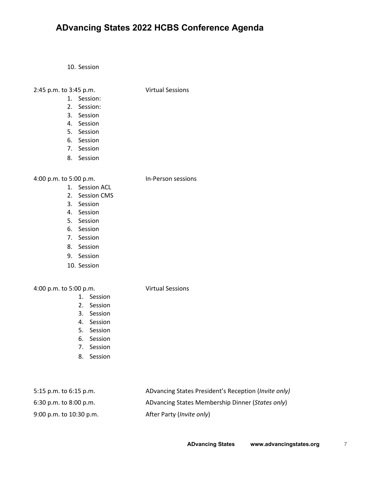10. Session

#### 2:45 p.m. to 3:45 p.m. Virtual Sessions

- 1. Session:
- 2. Session:
- 3. Session
- 4. Session
- 5. Session
- 6. Session
- 7. Session
- 8. Session

### 4:00 p.m. to 5:00 p.m. In-Person sessions

- 1. Session ACL
- 2. Session CMS
- 3. Session
- 4. Session
- 5. Session
- 6. Session
- 7. Session
- 8. Session
- 9. Session
- 10. Session

### 4:00 p.m. to 5:00 p.m. Virtual Sessions

- 1. Session
- 2. Session
- 3. Session
- 4. Session
- 5. Session
- 6. Session
- 7. Session
- 8. Session

| 5:15 p.m. to $6:15$ p.m.   | ADvancing States President's Reception (Invite only) |
|----------------------------|------------------------------------------------------|
| $6:30$ p.m. to $8:00$ p.m. | ADvancing States Membership Dinner (States only)     |
| 9:00 p.m. to 10:30 p.m.    | After Party ( <i>Invite only</i> )                   |